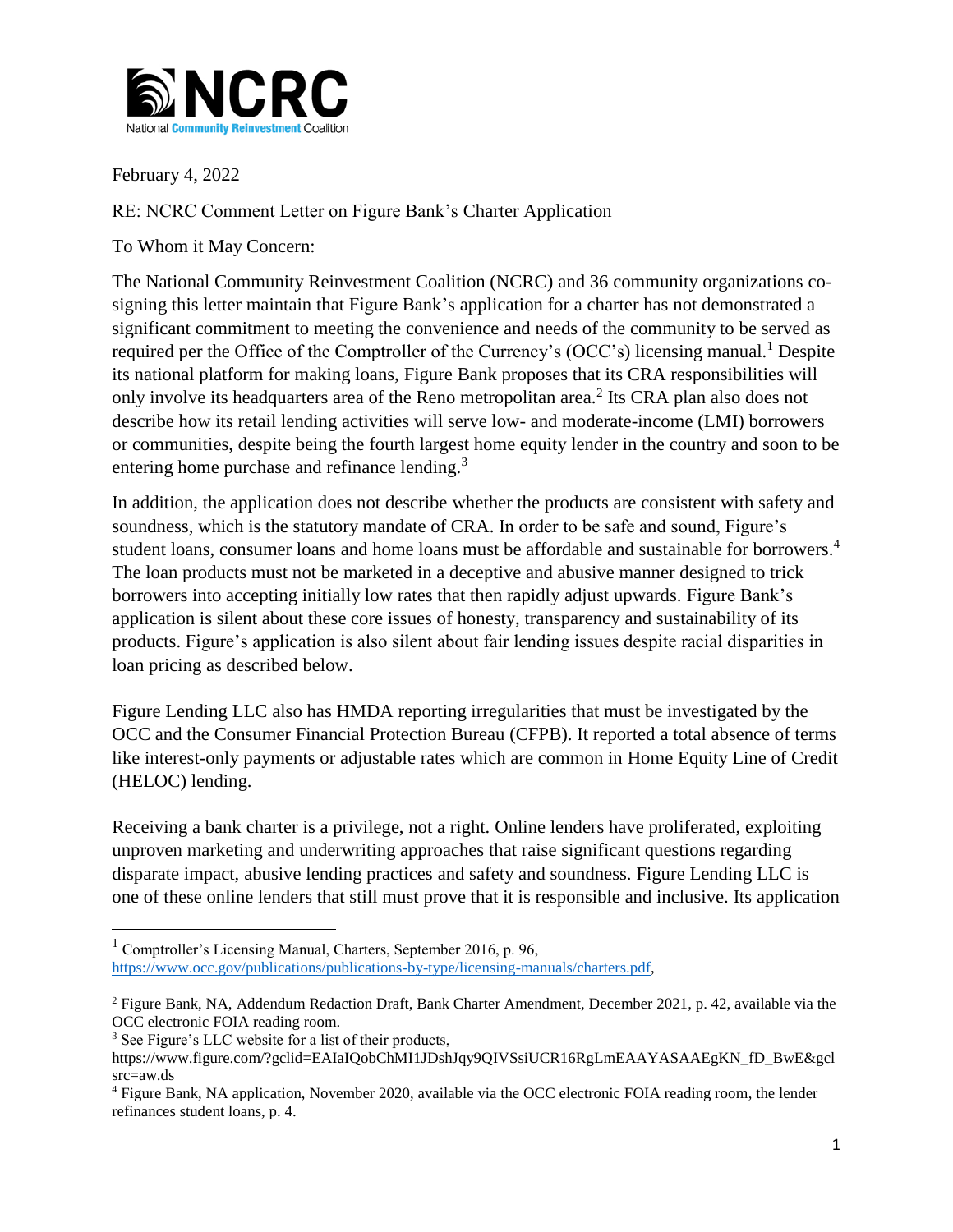

February 4, 2022

RE: NCRC Comment Letter on Figure Bank's Charter Application

To Whom it May Concern:

The National Community Reinvestment Coalition (NCRC) and 36 community organizations cosigning this letter maintain that Figure Bank's application for a charter has not demonstrated a significant commitment to meeting the convenience and needs of the community to be served as required per the Office of the Comptroller of the Currency's (OCC's) licensing manual.<sup>1</sup> Despite its national platform for making loans, Figure Bank proposes that its CRA responsibilities will only involve its headquarters area of the Reno metropolitan area.<sup>2</sup> Its CRA plan also does not describe how its retail lending activities will serve low- and moderate-income (LMI) borrowers or communities, despite being the fourth largest home equity lender in the country and soon to be entering home purchase and refinance lending.<sup>3</sup>

In addition, the application does not describe whether the products are consistent with safety and soundness, which is the statutory mandate of CRA. In order to be safe and sound, Figure's student loans, consumer loans and home loans must be affordable and sustainable for borrowers.<sup>4</sup> The loan products must not be marketed in a deceptive and abusive manner designed to trick borrowers into accepting initially low rates that then rapidly adjust upwards. Figure Bank's application is silent about these core issues of honesty, transparency and sustainability of its products. Figure's application is also silent about fair lending issues despite racial disparities in loan pricing as described below.

Figure Lending LLC also has HMDA reporting irregularities that must be investigated by the OCC and the Consumer Financial Protection Bureau (CFPB). It reported a total absence of terms like interest-only payments or adjustable rates which are common in Home Equity Line of Credit (HELOC) lending.

Receiving a bank charter is a privilege, not a right. Online lenders have proliferated, exploiting unproven marketing and underwriting approaches that raise significant questions regarding disparate impact, abusive lending practices and safety and soundness. Figure Lending LLC is one of these online lenders that still must prove that it is responsible and inclusive. Its application

 $\overline{\phantom{a}}$ 

 $1$  Comptroller's Licensing Manual, Charters, September 2016, p. 96, [https://www.occ.gov/publications/publications-by-type/licensing-manuals/charters.pdf,](https://www.occ.gov/publications/publications-by-type/licensing-manuals/charters.pdf)

<sup>2</sup> Figure Bank, NA, Addendum Redaction Draft, Bank Charter Amendment, December 2021, p. 42, available via the OCC electronic FOIA reading room.

<sup>3</sup> See Figure's LLC website for a list of their products,

https://www.figure.com/?gclid=EAIaIQobChMI1JDshJqy9QIVSsiUCR16RgLmEAAYASAAEgKN\_fD\_BwE&gcl src=aw.ds

<sup>4</sup> Figure Bank, NA application, November 2020, available via the OCC electronic FOIA reading room, the lender refinances student loans, p. 4.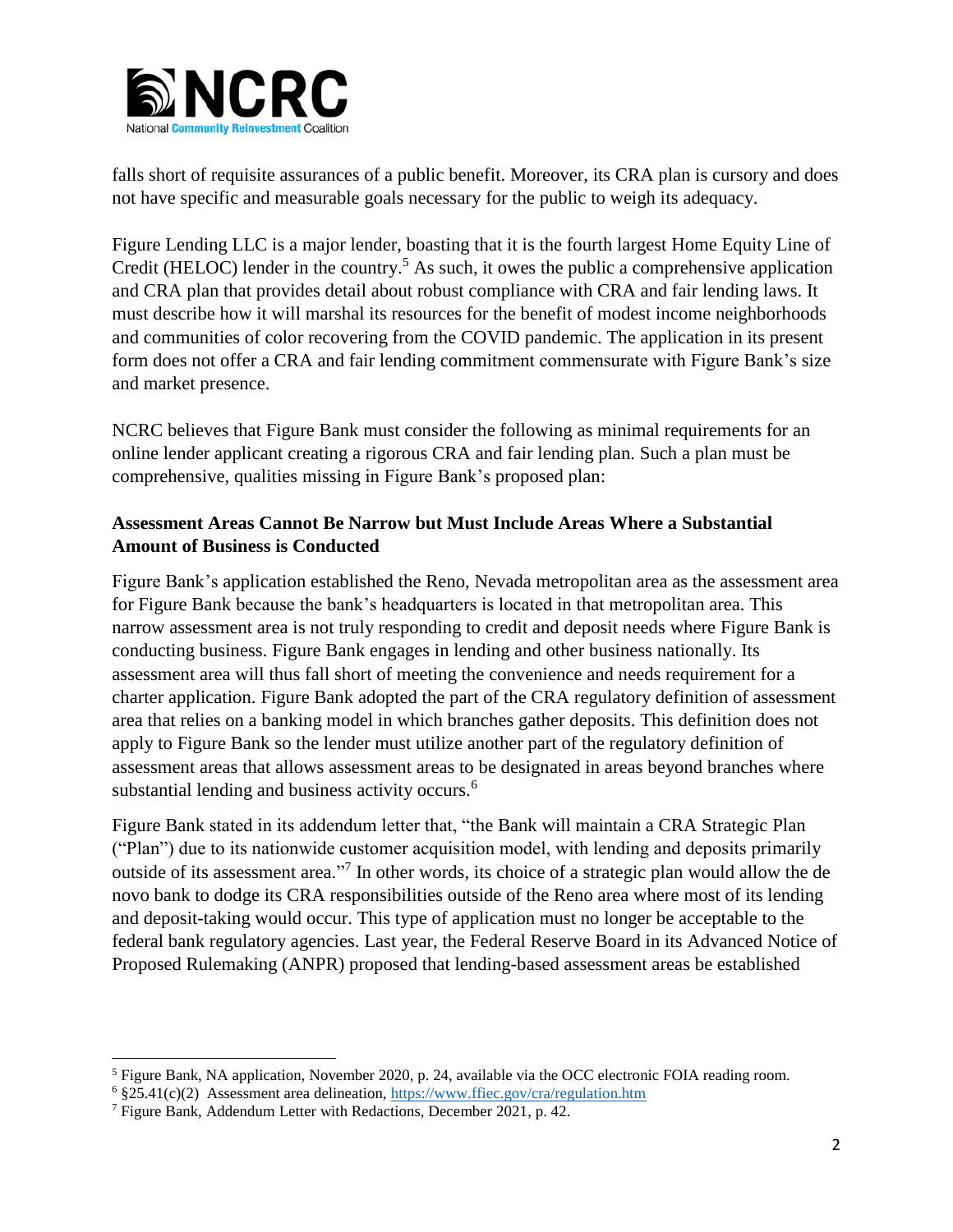

falls short of requisite assurances of a public benefit. Moreover, its CRA plan is cursory and does not have specific and measurable goals necessary for the public to weigh its adequacy.

Figure Lending LLC is a major lender, boasting that it is the fourth largest Home Equity Line of Credit (HELOC) lender in the country.<sup>5</sup> As such, it owes the public a comprehensive application and CRA plan that provides detail about robust compliance with CRA and fair lending laws. It must describe how it will marshal its resources for the benefit of modest income neighborhoods and communities of color recovering from the COVID pandemic. The application in its present form does not offer a CRA and fair lending commitment commensurate with Figure Bank's size and market presence.

NCRC believes that Figure Bank must consider the following as minimal requirements for an online lender applicant creating a rigorous CRA and fair lending plan. Such a plan must be comprehensive, qualities missing in Figure Bank's proposed plan:

# **Assessment Areas Cannot Be Narrow but Must Include Areas Where a Substantial Amount of Business is Conducted**

Figure Bank's application established the Reno, Nevada metropolitan area as the assessment area for Figure Bank because the bank's headquarters is located in that metropolitan area. This narrow assessment area is not truly responding to credit and deposit needs where Figure Bank is conducting business. Figure Bank engages in lending and other business nationally. Its assessment area will thus fall short of meeting the convenience and needs requirement for a charter application. Figure Bank adopted the part of the CRA regulatory definition of assessment area that relies on a banking model in which branches gather deposits. This definition does not apply to Figure Bank so the lender must utilize another part of the regulatory definition of assessment areas that allows assessment areas to be designated in areas beyond branches where substantial lending and business activity occurs.<sup>6</sup>

Figure Bank stated in its addendum letter that, "the Bank will maintain a CRA Strategic Plan ("Plan") due to its nationwide customer acquisition model, with lending and deposits primarily outside of its assessment area."<sup>7</sup> In other words, its choice of a strategic plan would allow the de novo bank to dodge its CRA responsibilities outside of the Reno area where most of its lending and deposit-taking would occur. This type of application must no longer be acceptable to the federal bank regulatory agencies. Last year, the Federal Reserve Board in its Advanced Notice of Proposed Rulemaking (ANPR) proposed that lending-based assessment areas be established

 $\overline{\phantom{a}}$ 

<sup>5</sup> Figure Bank, NA application, November 2020, p. 24, available via the OCC electronic FOIA reading room.

<sup>6</sup> §25.41(c)(2) Assessment area delineation,<https://www.ffiec.gov/cra/regulation.htm>

<sup>7</sup> Figure Bank, Addendum Letter with Redactions, December 2021, p. 42.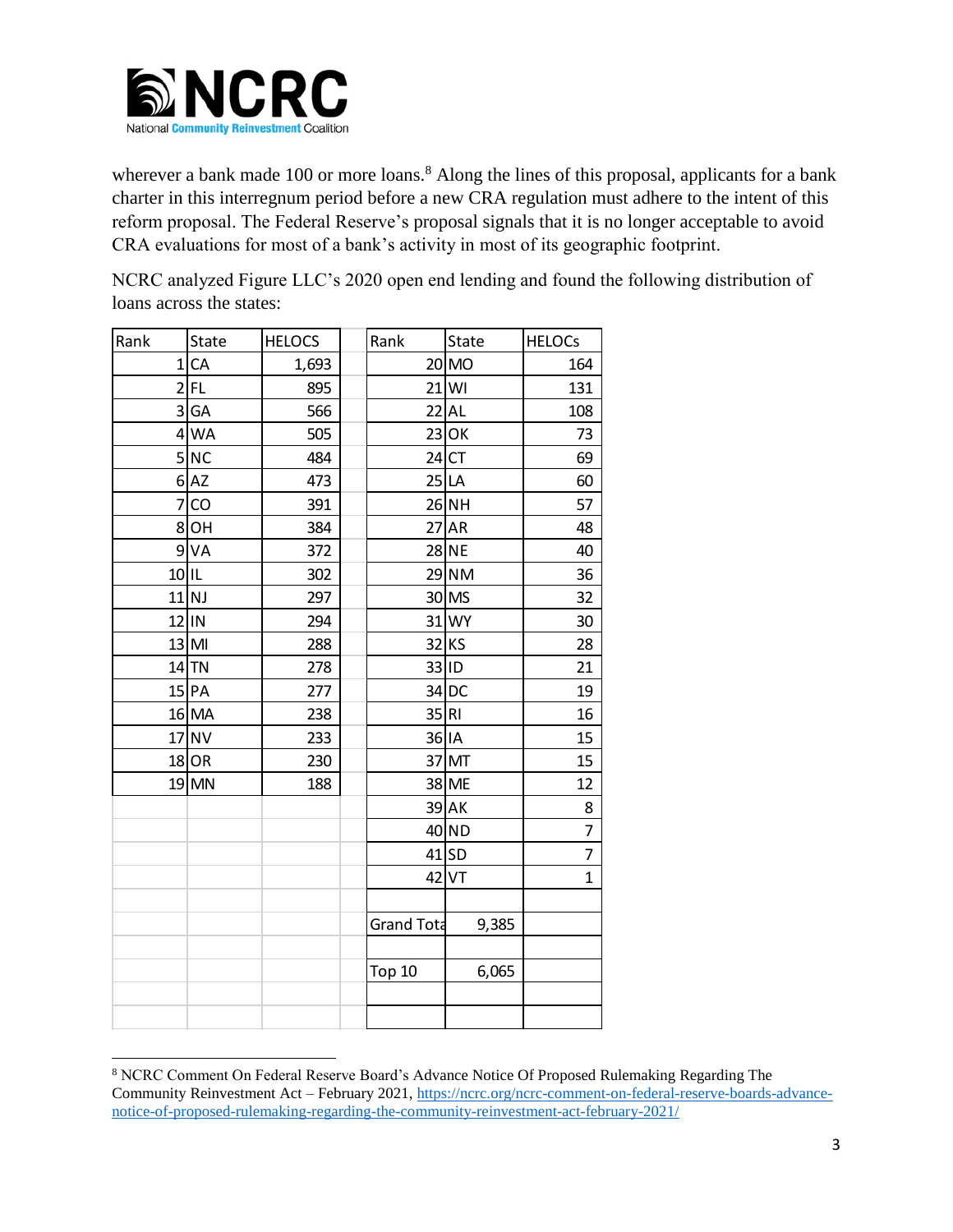

wherever a bank made 100 or more loans.<sup>8</sup> Along the lines of this proposal, applicants for a bank charter in this interregnum period before a new CRA regulation must adhere to the intent of this reform proposal. The Federal Reserve's proposal signals that it is no longer acceptable to avoid CRA evaluations for most of a bank's activity in most of its geographic footprint.

NCRC analyzed Figure LLC's 2020 open end lending and found the following distribution of loans across the states:

| Rank    | State   | <b>HELOCS</b> | Rank              | State        | <b>HELOCs</b>  |
|---------|---------|---------------|-------------------|--------------|----------------|
|         | 1 CA    | 1,693         |                   | $20$ MO      | 164            |
|         | $2$ FL  | 895           |                   | $21$ WI      | 131            |
|         | 3 GA    | 566           |                   | $22$ AL      | 108            |
|         | $4$ WA  | 505           |                   | $23$ OK      | 73             |
|         | 5NC     | 484           |                   | $24$ CT      | 69             |
|         | $6$ AZ  | 473           |                   | 25 LA        | 60             |
|         | $7$ CO  | 391           |                   | $26$ NH      | 57             |
|         | $8$ OH  | 384           |                   | $27$ AR      | 48             |
|         | $9$ VA  | 372           |                   | <b>28 NE</b> | 40             |
| $10$ IL |         | 302           |                   | 29 NM        | 36             |
|         | $11$ NJ | 297           |                   | 30 MS        | 32             |
|         | 12 IN   | 294           |                   | 31 WY        | 30             |
|         | $13$ MI | 288           |                   | $32$ KS      | 28             |
|         | $14$ TN | 278           |                   | 33 ID        | 21             |
|         | $15$ PA | 277           |                   | $34$ DC      | 19             |
|         | 16 MA   | 238           | 35 RI             |              | 16             |
|         | $17$ NV | 233           |                   | 36 IA        | 15             |
|         | $18$ OR | 230           |                   | 37 MT        | 15             |
|         | 19 MN   | 188           |                   | 38 ME        | 12             |
|         |         |               |                   | 39 AK        | 8              |
|         |         |               |                   | 40 ND        | $\overline{7}$ |
|         |         |               |                   | $41$ SD      | 7              |
|         |         |               |                   | $42$ VT      | $\overline{1}$ |
|         |         |               |                   |              |                |
|         |         |               | <b>Grand Tota</b> | 9,385        |                |
|         |         |               |                   |              |                |
|         |         |               | <b>Top 10</b>     | 6,065        |                |
|         |         |               |                   |              |                |

 $\overline{\phantom{a}}$  NCRC Comment On Federal Reserve Board's Advance Notice Of Proposed Rulemaking Regarding The Community Reinvestment Act – February 2021, [https://ncrc.org/ncrc-comment-on-federal-reserve-boards-advance](https://ncrc.org/ncrc-comment-on-federal-reserve-boards-advance-notice-of-proposed-rulemaking-regarding-the-community-reinvestment-act-february-2021/)[notice-of-proposed-rulemaking-regarding-the-community-reinvestment-act-february-2021/](https://ncrc.org/ncrc-comment-on-federal-reserve-boards-advance-notice-of-proposed-rulemaking-regarding-the-community-reinvestment-act-february-2021/)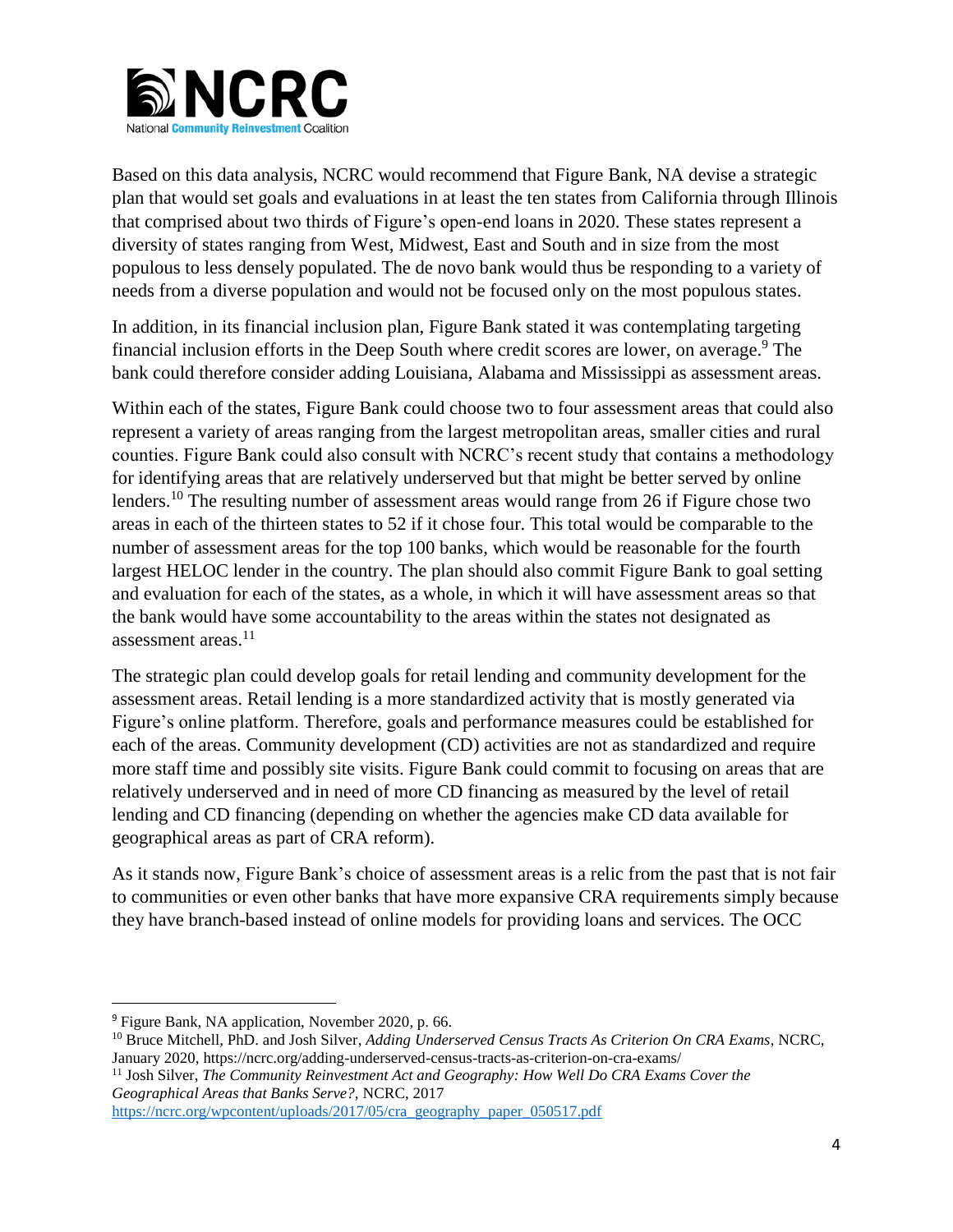

Based on this data analysis, NCRC would recommend that Figure Bank, NA devise a strategic plan that would set goals and evaluations in at least the ten states from California through Illinois that comprised about two thirds of Figure's open-end loans in 2020. These states represent a diversity of states ranging from West, Midwest, East and South and in size from the most populous to less densely populated. The de novo bank would thus be responding to a variety of needs from a diverse population and would not be focused only on the most populous states.

In addition, in its financial inclusion plan, Figure Bank stated it was contemplating targeting financial inclusion efforts in the Deep South where credit scores are lower, on average.<sup>9</sup> The bank could therefore consider adding Louisiana, Alabama and Mississippi as assessment areas.

Within each of the states, Figure Bank could choose two to four assessment areas that could also represent a variety of areas ranging from the largest metropolitan areas, smaller cities and rural counties. Figure Bank could also consult with NCRC's recent study that contains a methodology for identifying areas that are relatively underserved but that might be better served by online lenders.<sup>10</sup> The resulting number of assessment areas would range from 26 if Figure chose two areas in each of the thirteen states to 52 if it chose four. This total would be comparable to the number of assessment areas for the top 100 banks, which would be reasonable for the fourth largest HELOC lender in the country. The plan should also commit Figure Bank to goal setting and evaluation for each of the states, as a whole, in which it will have assessment areas so that the bank would have some accountability to the areas within the states not designated as assessment areas. $11$ 

The strategic plan could develop goals for retail lending and community development for the assessment areas. Retail lending is a more standardized activity that is mostly generated via Figure's online platform. Therefore, goals and performance measures could be established for each of the areas. Community development (CD) activities are not as standardized and require more staff time and possibly site visits. Figure Bank could commit to focusing on areas that are relatively underserved and in need of more CD financing as measured by the level of retail lending and CD financing (depending on whether the agencies make CD data available for geographical areas as part of CRA reform).

As it stands now, Figure Bank's choice of assessment areas is a relic from the past that is not fair to communities or even other banks that have more expansive CRA requirements simply because they have branch-based instead of online models for providing loans and services. The OCC

 $\overline{\phantom{a}}$ 

<sup>11</sup> Josh Silver, *The Community Reinvestment Act and Geography: How Well Do CRA Exams Cover the Geographical Areas that Banks Serve?,* NCRC, 2017

[https://ncrc.org/wpcontent/uploads/2017/05/cra\\_geography\\_paper\\_050517.pdf](https://ncrc.org/wpcontent/uploads/2017/05/cra_geography_paper_050517.pdf)

<sup>9</sup> Figure Bank, NA application, November 2020, p. 66.

<sup>10</sup> Bruce Mitchell, PhD. and Josh Silver, *Adding Underserved Census Tracts As Criterion On CRA Exams*, NCRC, January 2020, https://ncrc.org/adding-underserved-census-tracts-as-criterion-on-cra-exams/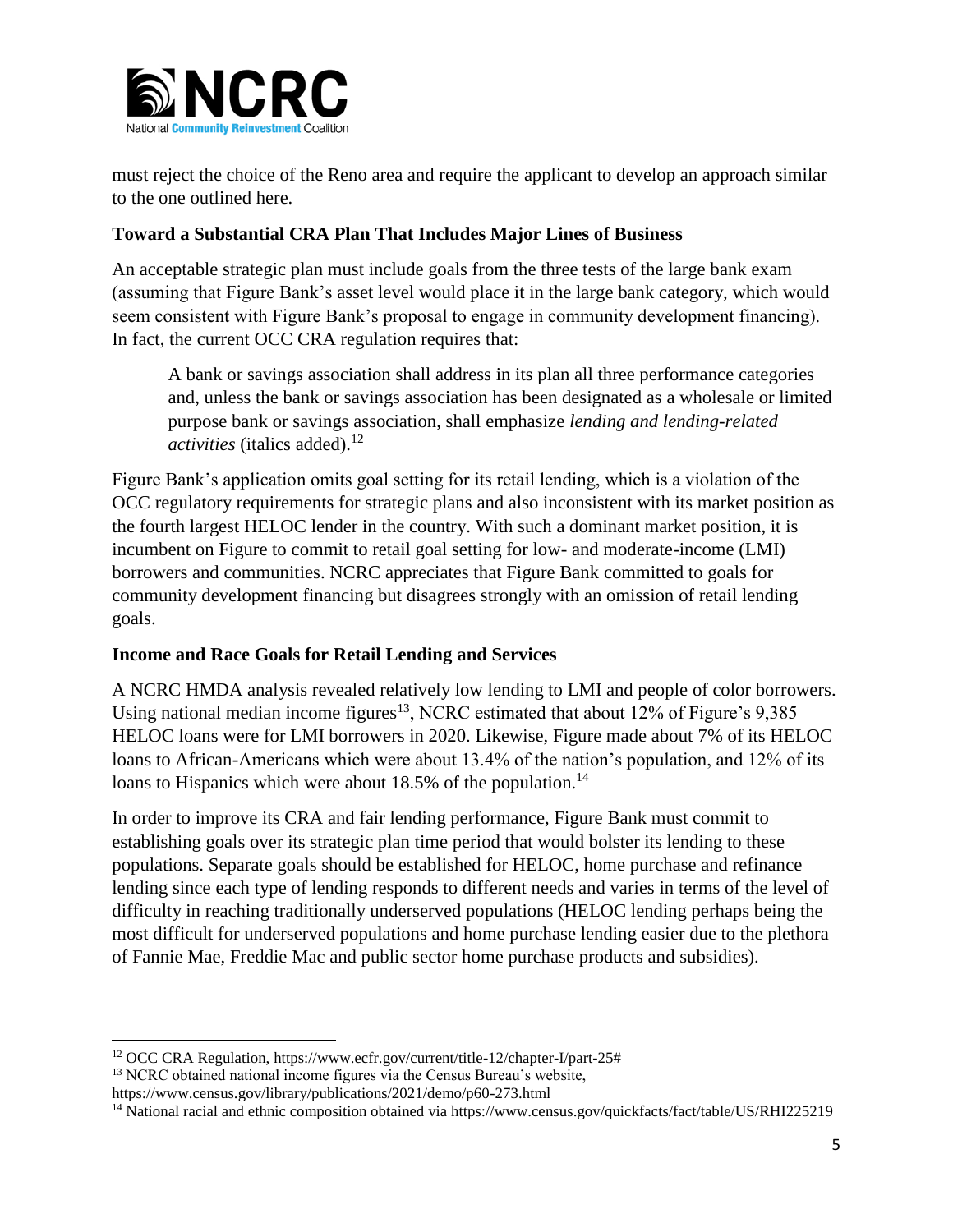

must reject the choice of the Reno area and require the applicant to develop an approach similar to the one outlined here.

# **Toward a Substantial CRA Plan That Includes Major Lines of Business**

An acceptable strategic plan must include goals from the three tests of the large bank exam (assuming that Figure Bank's asset level would place it in the large bank category, which would seem consistent with Figure Bank's proposal to engage in community development financing). In fact, the current OCC CRA regulation requires that:

A bank or savings association shall address in its plan all three performance categories and, unless the bank or savings association has been designated as a wholesale or limited purpose bank or savings association, shall emphasize *lending and lending-related activities* (italics added).<sup>12</sup>

Figure Bank's application omits goal setting for its retail lending, which is a violation of the OCC regulatory requirements for strategic plans and also inconsistent with its market position as the fourth largest HELOC lender in the country. With such a dominant market position, it is incumbent on Figure to commit to retail goal setting for low- and moderate-income (LMI) borrowers and communities. NCRC appreciates that Figure Bank committed to goals for community development financing but disagrees strongly with an omission of retail lending goals.

### **Income and Race Goals for Retail Lending and Services**

A NCRC HMDA analysis revealed relatively low lending to LMI and people of color borrowers. Using national median income figures<sup>13</sup>, NCRC estimated that about  $12\%$  of Figure's 9,385 HELOC loans were for LMI borrowers in 2020. Likewise, Figure made about 7% of its HELOC loans to African-Americans which were about 13.4% of the nation's population, and 12% of its loans to Hispanics which were about  $18.5\%$  of the population.<sup>14</sup>

In order to improve its CRA and fair lending performance, Figure Bank must commit to establishing goals over its strategic plan time period that would bolster its lending to these populations. Separate goals should be established for HELOC, home purchase and refinance lending since each type of lending responds to different needs and varies in terms of the level of difficulty in reaching traditionally underserved populations (HELOC lending perhaps being the most difficult for underserved populations and home purchase lending easier due to the plethora of Fannie Mae, Freddie Mac and public sector home purchase products and subsidies).

 $\overline{a}$ 

<sup>12</sup> OCC CRA Regulation, https://www.ecfr.gov/current/title-12/chapter-I/part-25#

<sup>&</sup>lt;sup>13</sup> NCRC obtained national income figures via the Census Bureau's website,

https://www.census.gov/library/publications/2021/demo/p60-273.html

<sup>&</sup>lt;sup>14</sup> National racial and ethnic composition obtained via https://www.census.gov/quickfacts/fact/table/US/RHI225219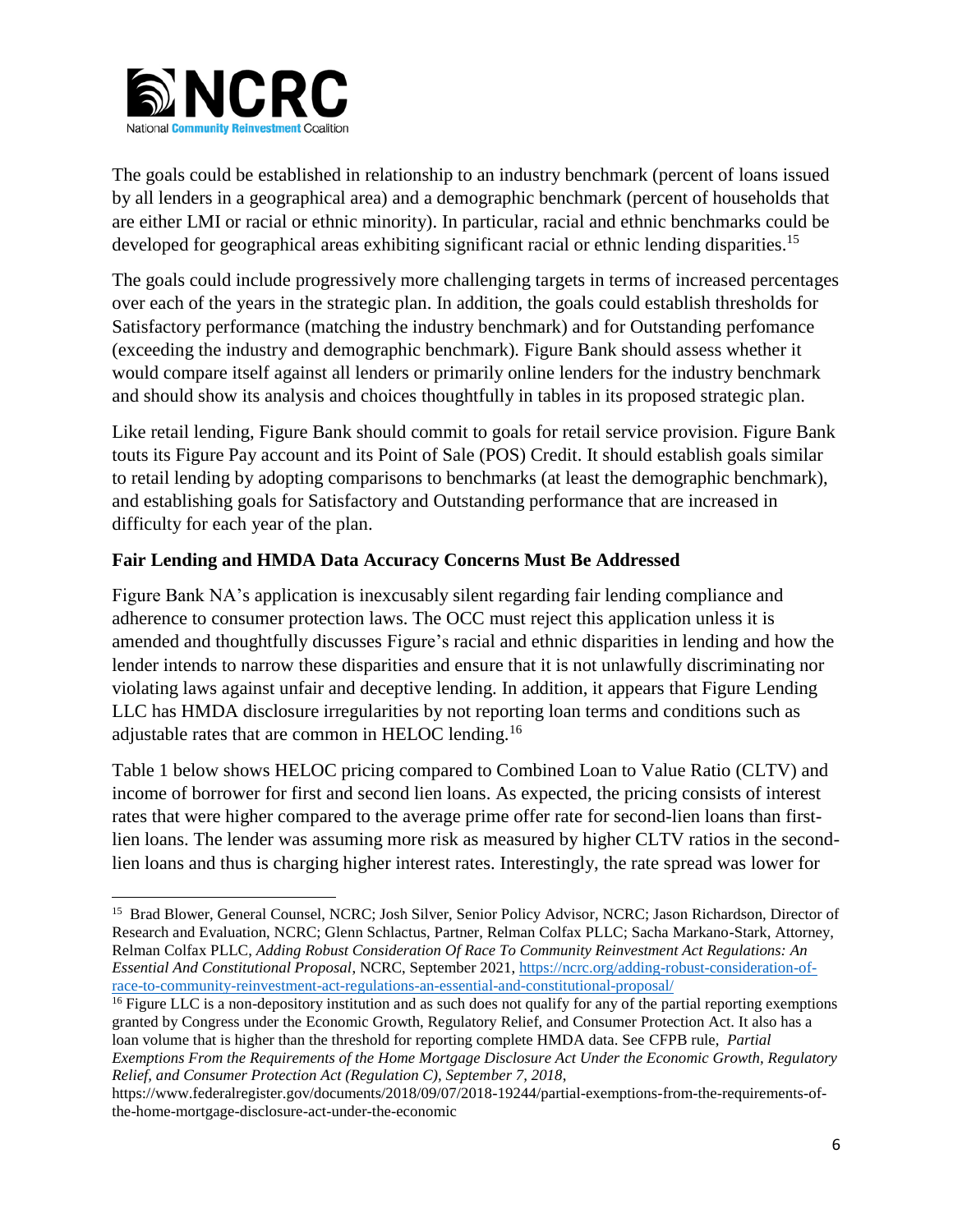

The goals could be established in relationship to an industry benchmark (percent of loans issued by all lenders in a geographical area) and a demographic benchmark (percent of households that are either LMI or racial or ethnic minority). In particular, racial and ethnic benchmarks could be developed for geographical areas exhibiting significant racial or ethnic lending disparities.<sup>15</sup>

The goals could include progressively more challenging targets in terms of increased percentages over each of the years in the strategic plan. In addition, the goals could establish thresholds for Satisfactory performance (matching the industry benchmark) and for Outstanding perfomance (exceeding the industry and demographic benchmark). Figure Bank should assess whether it would compare itself against all lenders or primarily online lenders for the industry benchmark and should show its analysis and choices thoughtfully in tables in its proposed strategic plan.

Like retail lending, Figure Bank should commit to goals for retail service provision. Figure Bank touts its Figure Pay account and its Point of Sale (POS) Credit. It should establish goals similar to retail lending by adopting comparisons to benchmarks (at least the demographic benchmark), and establishing goals for Satisfactory and Outstanding performance that are increased in difficulty for each year of the plan.

# **Fair Lending and HMDA Data Accuracy Concerns Must Be Addressed**

Figure Bank NA's application is inexcusably silent regarding fair lending compliance and adherence to consumer protection laws. The OCC must reject this application unless it is amended and thoughtfully discusses Figure's racial and ethnic disparities in lending and how the lender intends to narrow these disparities and ensure that it is not unlawfully discriminating nor violating laws against unfair and deceptive lending. In addition, it appears that Figure Lending LLC has HMDA disclosure irregularities by not reporting loan terms and conditions such as adjustable rates that are common in HELOC lending.<sup>16</sup>

Table 1 below shows HELOC pricing compared to Combined Loan to Value Ratio (CLTV) and income of borrower for first and second lien loans. As expected, the pricing consists of interest rates that were higher compared to the average prime offer rate for second-lien loans than firstlien loans. The lender was assuming more risk as measured by higher CLTV ratios in the secondlien loans and thus is charging higher interest rates. Interestingly, the rate spread was lower for

<sup>16</sup> Figure LLC is a non-depository institution and as such does not qualify for any of the partial reporting exemptions granted by Congress under the Economic Growth, Regulatory Relief, and Consumer Protection Act. It also has a loan volume that is higher than the threshold for reporting complete HMDA data. See CFPB rule, *Partial Exemptions From the Requirements of the Home Mortgage Disclosure Act Under the Economic Growth, Regulatory Relief, and Consumer Protection Act (Regulation C), September 7, 2018*,

 $\overline{\phantom{a}}$ <sup>15</sup> Brad Blower, General Counsel, NCRC; Josh Silver, Senior Policy Advisor, NCRC; Jason Richardson, Director of Research and Evaluation, NCRC; Glenn Schlactus, Partner, Relman Colfax PLLC; Sacha Markano-Stark, Attorney, Relman Colfax PLLC, *Adding Robust Consideration Of Race To Community Reinvestment Act Regulations: An Essential And Constitutional Proposal*, NCRC, September 2021[, https://ncrc.org/adding-robust-consideration-of](https://ncrc.org/adding-robust-consideration-of-race-to-community-reinvestment-act-regulations-an-essential-and-constitutional-proposal/)[race-to-community-reinvestment-act-regulations-an-essential-and-constitutional-proposal/](https://ncrc.org/adding-robust-consideration-of-race-to-community-reinvestment-act-regulations-an-essential-and-constitutional-proposal/)

https://www.federalregister.gov/documents/2018/09/07/2018-19244/partial-exemptions-from-the-requirements-ofthe-home-mortgage-disclosure-act-under-the-economic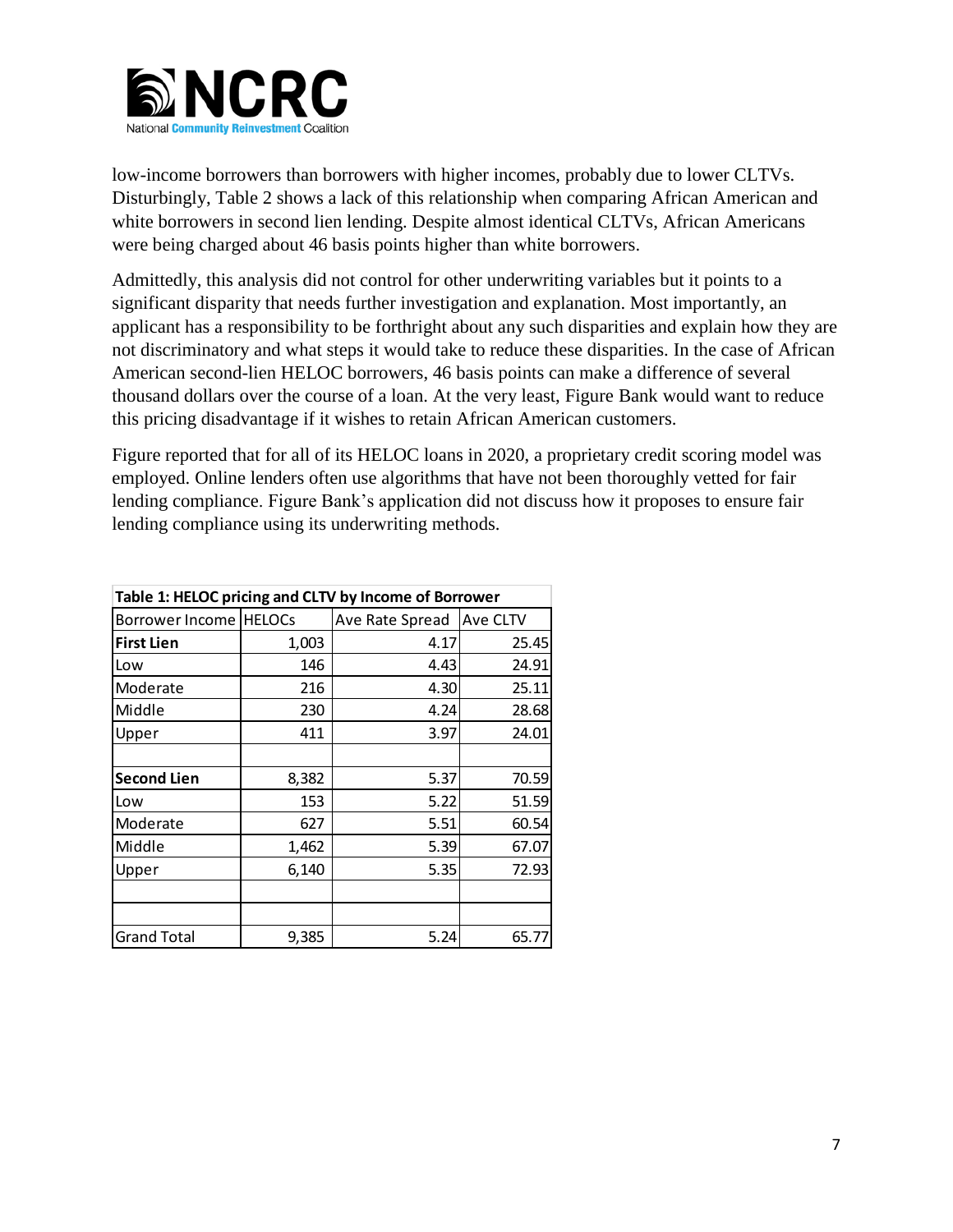

low-income borrowers than borrowers with higher incomes, probably due to lower CLTVs. Disturbingly, Table 2 shows a lack of this relationship when comparing African American and white borrowers in second lien lending. Despite almost identical CLTVs, African Americans were being charged about 46 basis points higher than white borrowers.

Admittedly, this analysis did not control for other underwriting variables but it points to a significant disparity that needs further investigation and explanation. Most importantly, an applicant has a responsibility to be forthright about any such disparities and explain how they are not discriminatory and what steps it would take to reduce these disparities. In the case of African American second-lien HELOC borrowers, 46 basis points can make a difference of several thousand dollars over the course of a loan. At the very least, Figure Bank would want to reduce this pricing disadvantage if it wishes to retain African American customers.

Figure reported that for all of its HELOC loans in 2020, a proprietary credit scoring model was employed. Online lenders often use algorithms that have not been thoroughly vetted for fair lending compliance. Figure Bank's application did not discuss how it proposes to ensure fair lending compliance using its underwriting methods.

| Table 1: HELOC pricing and CLTV by Income of Borrower |       |                 |          |  |  |  |
|-------------------------------------------------------|-------|-----------------|----------|--|--|--|
| Borrower Income   HELOCs                              |       | Ave Rate Spread | Ave CLTV |  |  |  |
| <b>First Lien</b>                                     | 1,003 | 4.17            | 25.45    |  |  |  |
| Low                                                   | 146   | 4.43            | 24.91    |  |  |  |
| Moderate                                              | 216   | 4.30            | 25.11    |  |  |  |
| Middle                                                | 230   | 4.24            | 28.68    |  |  |  |
| Upper                                                 | 411   | 3.97            | 24.01    |  |  |  |
|                                                       |       |                 |          |  |  |  |
| <b>Second Lien</b>                                    | 8,382 | 5.37            | 70.59    |  |  |  |
| Low                                                   | 153   | 5.22            | 51.59    |  |  |  |
| Moderate                                              | 627   | 5.51            | 60.54    |  |  |  |
| Middle                                                | 1,462 | 5.39            | 67.07    |  |  |  |
| Upper                                                 | 6,140 | 5.35            | 72.93    |  |  |  |
|                                                       |       |                 |          |  |  |  |
|                                                       |       |                 |          |  |  |  |
| <b>Grand Total</b>                                    | 9,385 | 5.24            | 65.77    |  |  |  |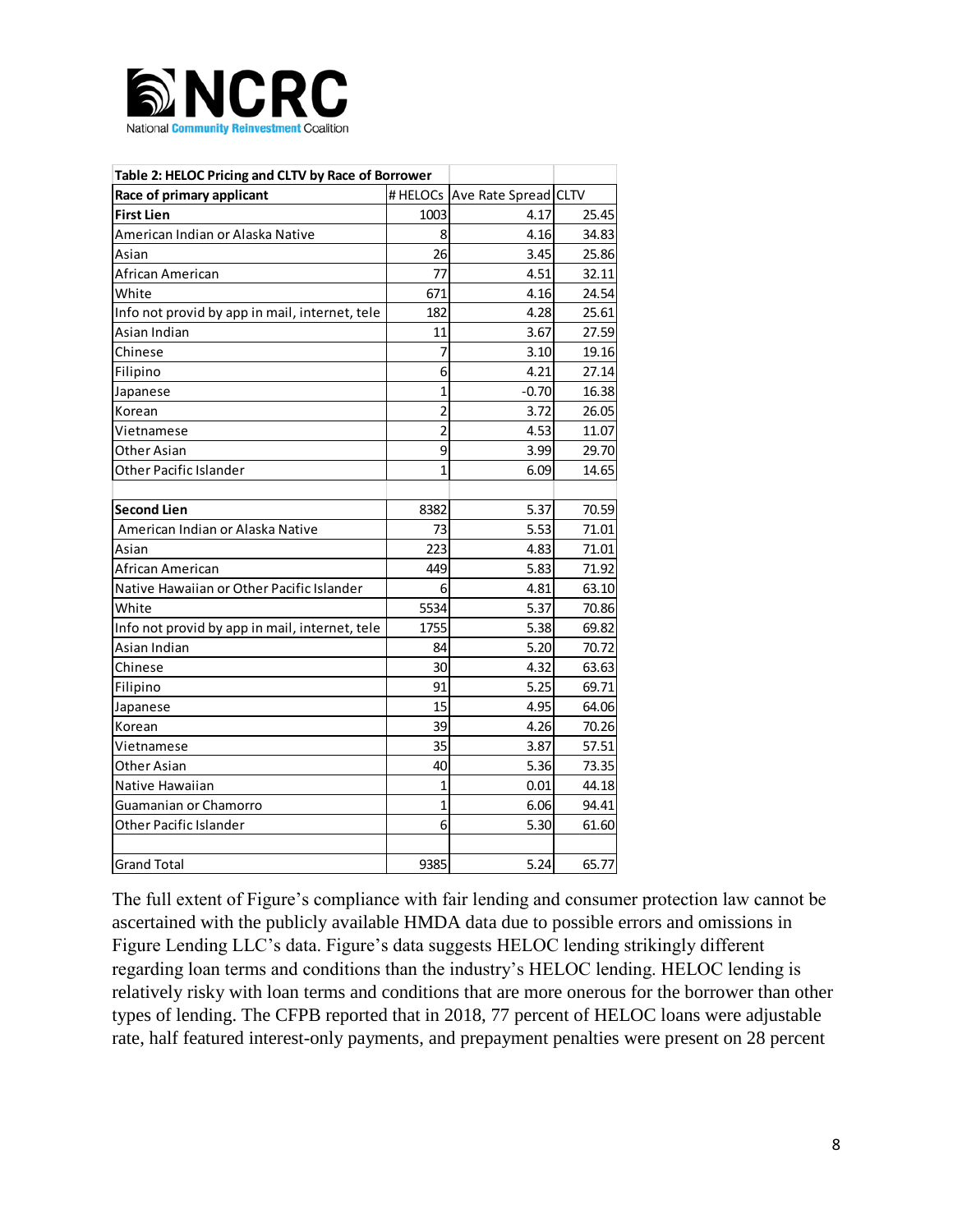

| Table 2: HELOC Pricing and CLTV by Race of Borrower |                |                                   |       |  |  |  |  |
|-----------------------------------------------------|----------------|-----------------------------------|-------|--|--|--|--|
| Race of primary applicant                           |                | # HELOCs   Ave Rate Spread   CLTV |       |  |  |  |  |
| <b>First Lien</b>                                   | 1003           | 4.17                              | 25.45 |  |  |  |  |
| American Indian or Alaska Native                    | 8              | 4.16                              | 34.83 |  |  |  |  |
| Asian                                               | 26             | 3.45                              | 25.86 |  |  |  |  |
| African American                                    | 77             | 4.51                              | 32.11 |  |  |  |  |
| White                                               | 671            | 4.16                              | 24.54 |  |  |  |  |
| Info not provid by app in mail, internet, tele      | 182            | 4.28                              | 25.61 |  |  |  |  |
| Asian Indian                                        | 11             | 3.67                              | 27.59 |  |  |  |  |
| Chinese                                             | 7              | 3.10                              | 19.16 |  |  |  |  |
| Filipino                                            | 6              | 4.21                              | 27.14 |  |  |  |  |
| Japanese                                            | $\mathbf{1}$   | $-0.70$                           | 16.38 |  |  |  |  |
| Korean                                              | $\overline{2}$ | 3.72                              | 26.05 |  |  |  |  |
| Vietnamese                                          | $\overline{2}$ | 4.53                              | 11.07 |  |  |  |  |
| Other Asian                                         | 9              | 3.99                              | 29.70 |  |  |  |  |
| Other Pacific Islander                              | $\overline{1}$ | 6.09                              | 14.65 |  |  |  |  |
|                                                     |                |                                   |       |  |  |  |  |
| <b>Second Lien</b>                                  | 8382           | 5.37                              | 70.59 |  |  |  |  |
| American Indian or Alaska Native                    | 73             | 5.53                              | 71.01 |  |  |  |  |
| Asian                                               | 223            | 4.83                              | 71.01 |  |  |  |  |
| African American                                    | 449            | 5.83                              | 71.92 |  |  |  |  |
| Native Hawaiian or Other Pacific Islander           | 6              | 4.81                              | 63.10 |  |  |  |  |
| White                                               | 5534           | 5.37                              | 70.86 |  |  |  |  |
| Info not provid by app in mail, internet, tele      | 1755           | 5.38                              | 69.82 |  |  |  |  |
| Asian Indian                                        | 84             | 5.20                              | 70.72 |  |  |  |  |
| Chinese                                             | 30             | 4.32                              | 63.63 |  |  |  |  |
| Filipino                                            | 91             | 5.25                              | 69.71 |  |  |  |  |
| Japanese                                            | 15             | 4.95                              | 64.06 |  |  |  |  |
| Korean                                              | 39             | 4.26                              | 70.26 |  |  |  |  |
| Vietnamese                                          | 35             | 3.87                              | 57.51 |  |  |  |  |
| Other Asian                                         | 40             | 5.36                              | 73.35 |  |  |  |  |
| Native Hawaiian                                     | $\overline{1}$ | 0.01                              | 44.18 |  |  |  |  |
| Guamanian or Chamorro                               | 1              | 6.06                              | 94.41 |  |  |  |  |
| Other Pacific Islander                              | 6              | 5.30                              | 61.60 |  |  |  |  |
|                                                     |                |                                   |       |  |  |  |  |
| <b>Grand Total</b>                                  | 9385           | 5.24                              | 65.77 |  |  |  |  |

The full extent of Figure's compliance with fair lending and consumer protection law cannot be ascertained with the publicly available HMDA data due to possible errors and omissions in Figure Lending LLC's data. Figure's data suggests HELOC lending strikingly different regarding loan terms and conditions than the industry's HELOC lending. HELOC lending is relatively risky with loan terms and conditions that are more onerous for the borrower than other types of lending. The CFPB reported that in 2018, 77 percent of HELOC loans were adjustable rate, half featured interest-only payments, and prepayment penalties were present on 28 percent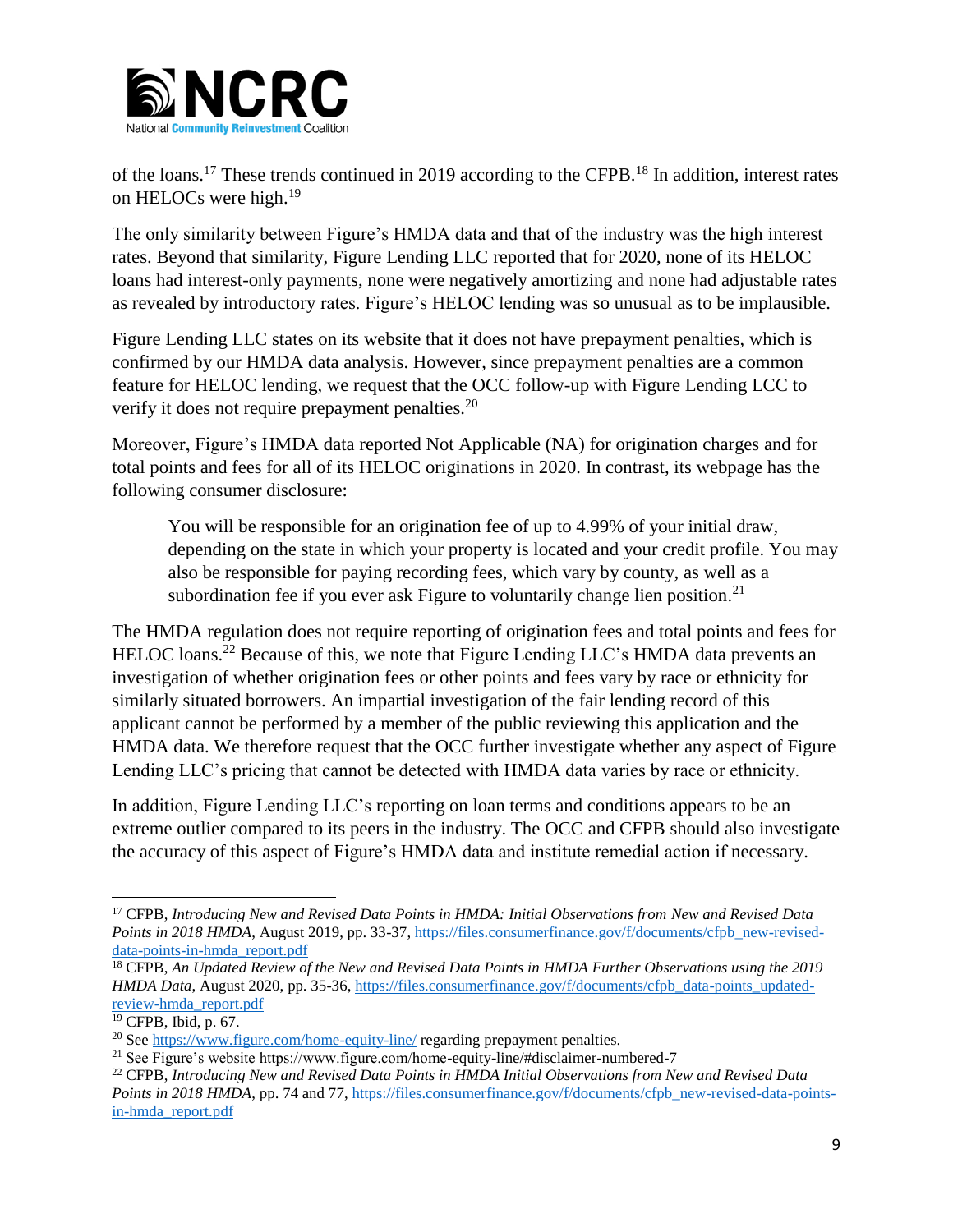

of the loans.<sup>17</sup> These trends continued in 2019 according to the CFPB.<sup>18</sup> In addition, interest rates on HELOCs were high.<sup>19</sup>

The only similarity between Figure's HMDA data and that of the industry was the high interest rates. Beyond that similarity, Figure Lending LLC reported that for 2020, none of its HELOC loans had interest-only payments, none were negatively amortizing and none had adjustable rates as revealed by introductory rates. Figure's HELOC lending was so unusual as to be implausible.

Figure Lending LLC states on its website that it does not have prepayment penalties, which is confirmed by our HMDA data analysis. However, since prepayment penalties are a common feature for HELOC lending, we request that the OCC follow-up with Figure Lending LCC to verify it does not require prepayment penalties.<sup>20</sup>

Moreover, Figure's HMDA data reported Not Applicable (NA) for origination charges and for total points and fees for all of its HELOC originations in 2020. In contrast, its webpage has the following consumer disclosure:

You will be responsible for an origination fee of up to 4.99% of your initial draw, depending on the state in which your property is located and your credit profile. You may also be responsible for paying recording fees, which vary by county, as well as a subordination fee if you ever ask Figure to voluntarily change lien position.<sup>21</sup>

The HMDA regulation does not require reporting of origination fees and total points and fees for HELOC loans.<sup>22</sup> Because of this, we note that Figure Lending LLC's HMDA data prevents an investigation of whether origination fees or other points and fees vary by race or ethnicity for similarly situated borrowers. An impartial investigation of the fair lending record of this applicant cannot be performed by a member of the public reviewing this application and the HMDA data. We therefore request that the OCC further investigate whether any aspect of Figure Lending LLC's pricing that cannot be detected with HMDA data varies by race or ethnicity.

In addition, Figure Lending LLC's reporting on loan terms and conditions appears to be an extreme outlier compared to its peers in the industry. The OCC and CFPB should also investigate the accuracy of this aspect of Figure's HMDA data and institute remedial action if necessary.

 $\overline{\phantom{a}}$ <sup>17</sup> CFPB, *Introducing New and Revised Data Points in HMDA: Initial Observations from New and Revised Data Points in 2018 HMDA*, August 2019, pp. 33-37[, https://files.consumerfinance.gov/f/documents/cfpb\\_new-revised](https://files.consumerfinance.gov/f/documents/cfpb_new-revised-data-points-in-hmda_report.pdf)[data-points-in-hmda\\_report.pdf](https://files.consumerfinance.gov/f/documents/cfpb_new-revised-data-points-in-hmda_report.pdf)

<sup>&</sup>lt;sup>18</sup> CFPB, *An Updated Review of the New and Revised Data Points in HMDA Further Observations using the 2019 HMDA Data*, August 2020, pp. 35-36, [https://files.consumerfinance.gov/f/documents/cfpb\\_data-points\\_updated](https://files.consumerfinance.gov/f/documents/cfpb_data-points_updated-review-hmda_report.pdf)[review-hmda\\_report.pdf](https://files.consumerfinance.gov/f/documents/cfpb_data-points_updated-review-hmda_report.pdf)

<sup>19</sup> CFPB, Ibid, p. 67.

<sup>&</sup>lt;sup>20</sup> See<https://www.figure.com/home-equity-line/> regarding prepayment penalties.

<sup>21</sup> See Figure's website https://www.figure.com/home-equity-line/#disclaimer-numbered-7

<sup>22</sup> CFPB, *Introducing New and Revised Data Points in HMDA Initial Observations from New and Revised Data Points in 2018 HMDA*, pp. 74 and 77, [https://files.consumerfinance.gov/f/documents/cfpb\\_new-revised-data-points](https://files.consumerfinance.gov/f/documents/cfpb_new-revised-data-points-in-hmda_report.pdf)[in-hmda\\_report.pdf](https://files.consumerfinance.gov/f/documents/cfpb_new-revised-data-points-in-hmda_report.pdf)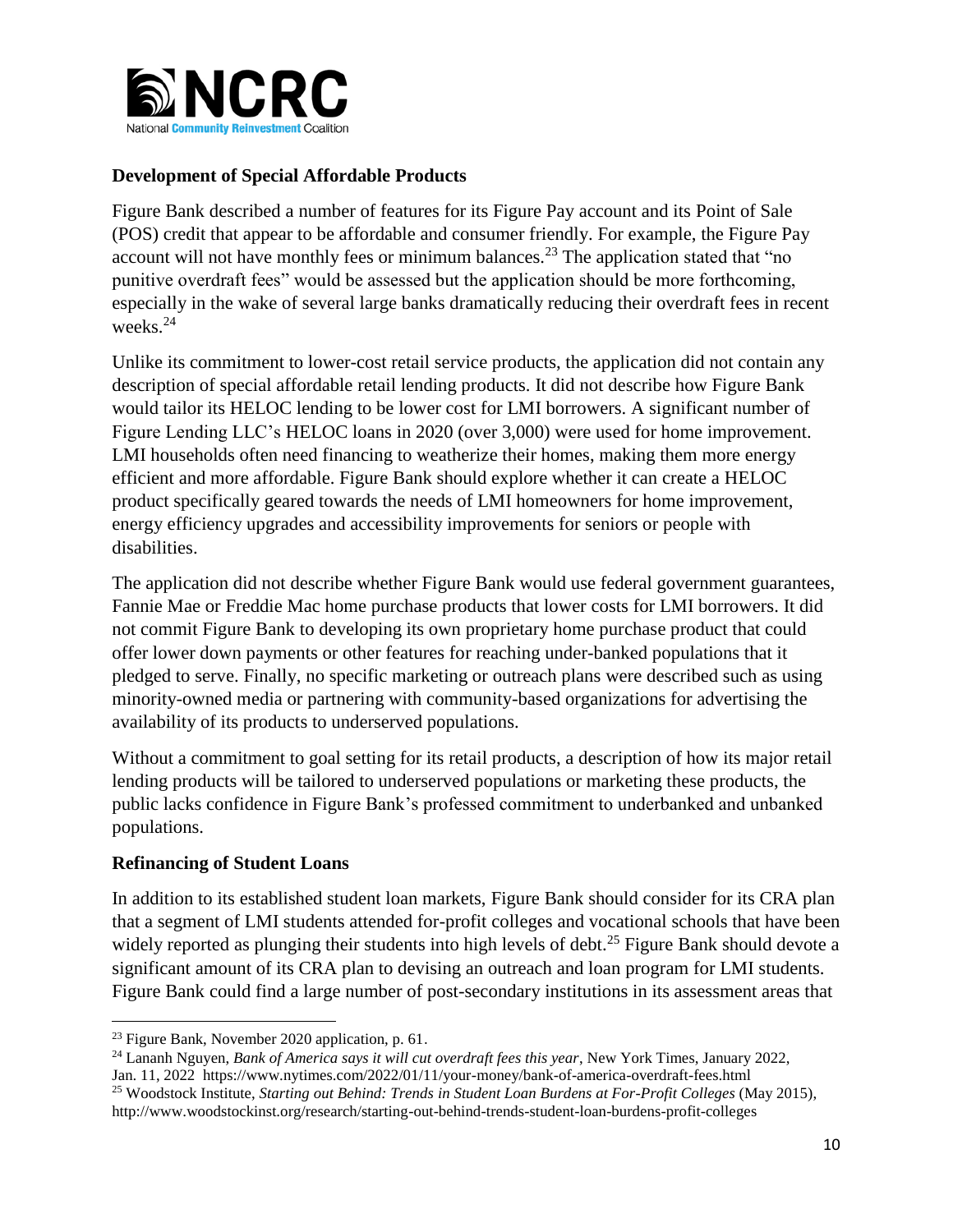

# **Development of Special Affordable Products**

Figure Bank described a number of features for its Figure Pay account and its Point of Sale (POS) credit that appear to be affordable and consumer friendly. For example, the Figure Pay account will not have monthly fees or minimum balances.<sup>23</sup> The application stated that "no punitive overdraft fees" would be assessed but the application should be more forthcoming, especially in the wake of several large banks dramatically reducing their overdraft fees in recent weeks.<sup>24</sup>

Unlike its commitment to lower-cost retail service products, the application did not contain any description of special affordable retail lending products. It did not describe how Figure Bank would tailor its HELOC lending to be lower cost for LMI borrowers. A significant number of Figure Lending LLC's HELOC loans in 2020 (over 3,000) were used for home improvement. LMI households often need financing to weatherize their homes, making them more energy efficient and more affordable. Figure Bank should explore whether it can create a HELOC product specifically geared towards the needs of LMI homeowners for home improvement, energy efficiency upgrades and accessibility improvements for seniors or people with disabilities.

The application did not describe whether Figure Bank would use federal government guarantees, Fannie Mae or Freddie Mac home purchase products that lower costs for LMI borrowers. It did not commit Figure Bank to developing its own proprietary home purchase product that could offer lower down payments or other features for reaching under-banked populations that it pledged to serve. Finally, no specific marketing or outreach plans were described such as using minority-owned media or partnering with community-based organizations for advertising the availability of its products to underserved populations.

Without a commitment to goal setting for its retail products, a description of how its major retail lending products will be tailored to underserved populations or marketing these products, the public lacks confidence in Figure Bank's professed commitment to underbanked and unbanked populations.

### **Refinancing of Student Loans**

 $\overline{\phantom{a}}$ 

In addition to its established student loan markets, Figure Bank should consider for its CRA plan that a segment of LMI students attended for-profit colleges and vocational schools that have been widely reported as plunging their students into high levels of debt.<sup>25</sup> Figure Bank should devote a significant amount of its CRA plan to devising an outreach and loan program for LMI students. Figure Bank could find a large number of post-secondary institutions in its assessment areas that

 $23$  Figure Bank, November 2020 application, p. 61.

<sup>24</sup> Lananh Nguyen, *Bank of America says it will cut overdraft fees this year*, New York Times, January 2022, Jan. 11, 2022 https://www.nytimes.com/2022/01/11/your-money/bank-of-america-overdraft-fees.html

<sup>25</sup> Woodstock Institute, *Starting out Behind: Trends in Student Loan Burdens at For-Profit Colleges* (May 2015), http://www.woodstockinst.org/research/starting-out-behind-trends-student-loan-burdens-profit-colleges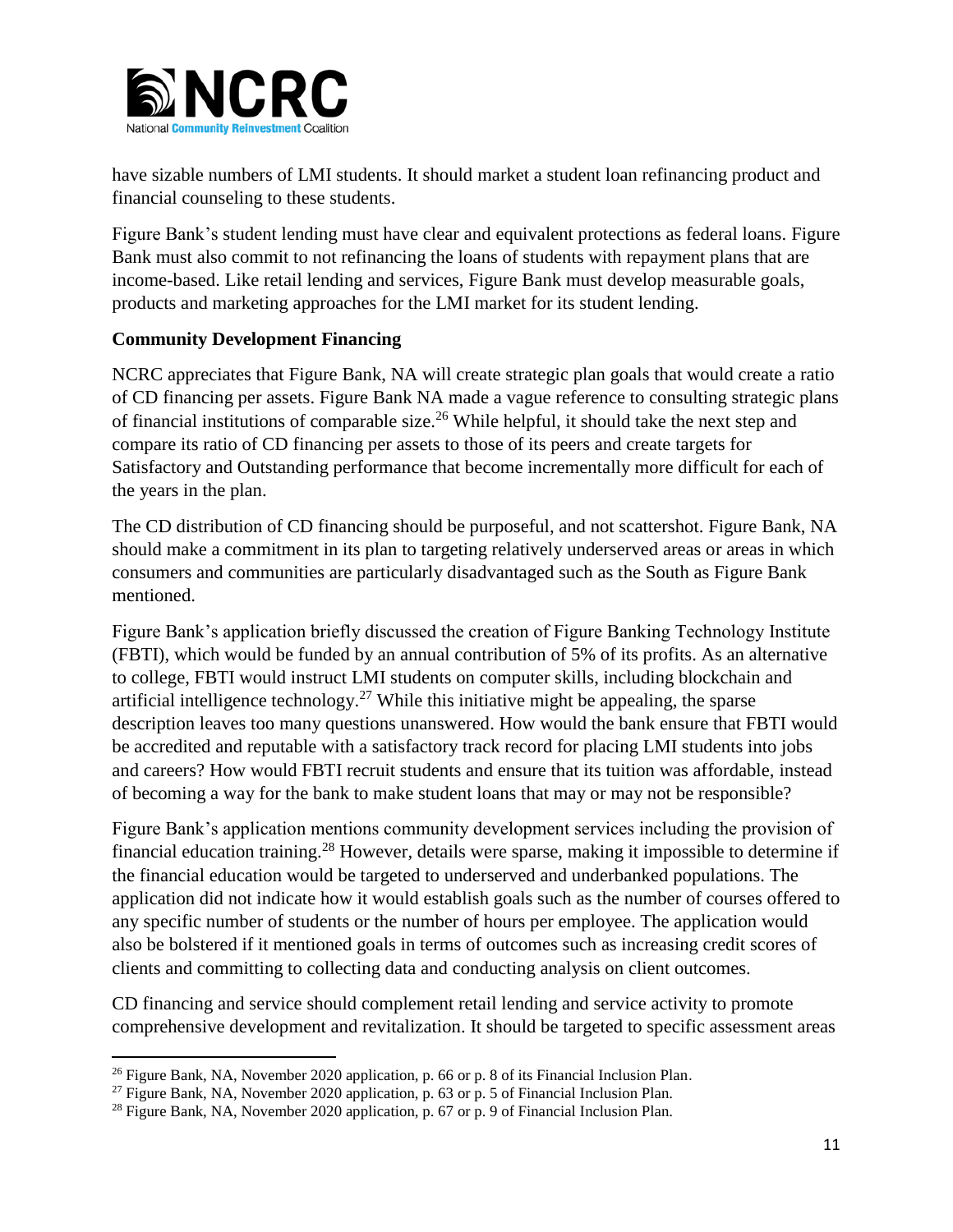

have sizable numbers of LMI students. It should market a student loan refinancing product and financial counseling to these students.

Figure Bank's student lending must have clear and equivalent protections as federal loans. Figure Bank must also commit to not refinancing the loans of students with repayment plans that are income-based. Like retail lending and services, Figure Bank must develop measurable goals, products and marketing approaches for the LMI market for its student lending.

# **Community Development Financing**

NCRC appreciates that Figure Bank, NA will create strategic plan goals that would create a ratio of CD financing per assets. Figure Bank NA made a vague reference to consulting strategic plans of financial institutions of comparable size.<sup>26</sup> While helpful, it should take the next step and compare its ratio of CD financing per assets to those of its peers and create targets for Satisfactory and Outstanding performance that become incrementally more difficult for each of the years in the plan.

The CD distribution of CD financing should be purposeful, and not scattershot. Figure Bank, NA should make a commitment in its plan to targeting relatively underserved areas or areas in which consumers and communities are particularly disadvantaged such as the South as Figure Bank mentioned.

Figure Bank's application briefly discussed the creation of Figure Banking Technology Institute (FBTI), which would be funded by an annual contribution of 5% of its profits. As an alternative to college, FBTI would instruct LMI students on computer skills, including blockchain and artificial intelligence technology.<sup>27</sup> While this initiative might be appealing, the sparse description leaves too many questions unanswered. How would the bank ensure that FBTI would be accredited and reputable with a satisfactory track record for placing LMI students into jobs and careers? How would FBTI recruit students and ensure that its tuition was affordable, instead of becoming a way for the bank to make student loans that may or may not be responsible?

Figure Bank's application mentions community development services including the provision of financial education training.<sup>28</sup> However, details were sparse, making it impossible to determine if the financial education would be targeted to underserved and underbanked populations. The application did not indicate how it would establish goals such as the number of courses offered to any specific number of students or the number of hours per employee. The application would also be bolstered if it mentioned goals in terms of outcomes such as increasing credit scores of clients and committing to collecting data and conducting analysis on client outcomes.

CD financing and service should complement retail lending and service activity to promote comprehensive development and revitalization. It should be targeted to specific assessment areas

 $\overline{\phantom{a}}$ <sup>26</sup> Figure Bank, NA, November 2020 application, p. 66 or p. 8 of its Financial Inclusion Plan.

<sup>&</sup>lt;sup>27</sup> Figure Bank, NA, November 2020 application, p. 63 or p. 5 of Financial Inclusion Plan.

<sup>&</sup>lt;sup>28</sup> Figure Bank, NA, November 2020 application, p. 67 or p. 9 of Financial Inclusion Plan.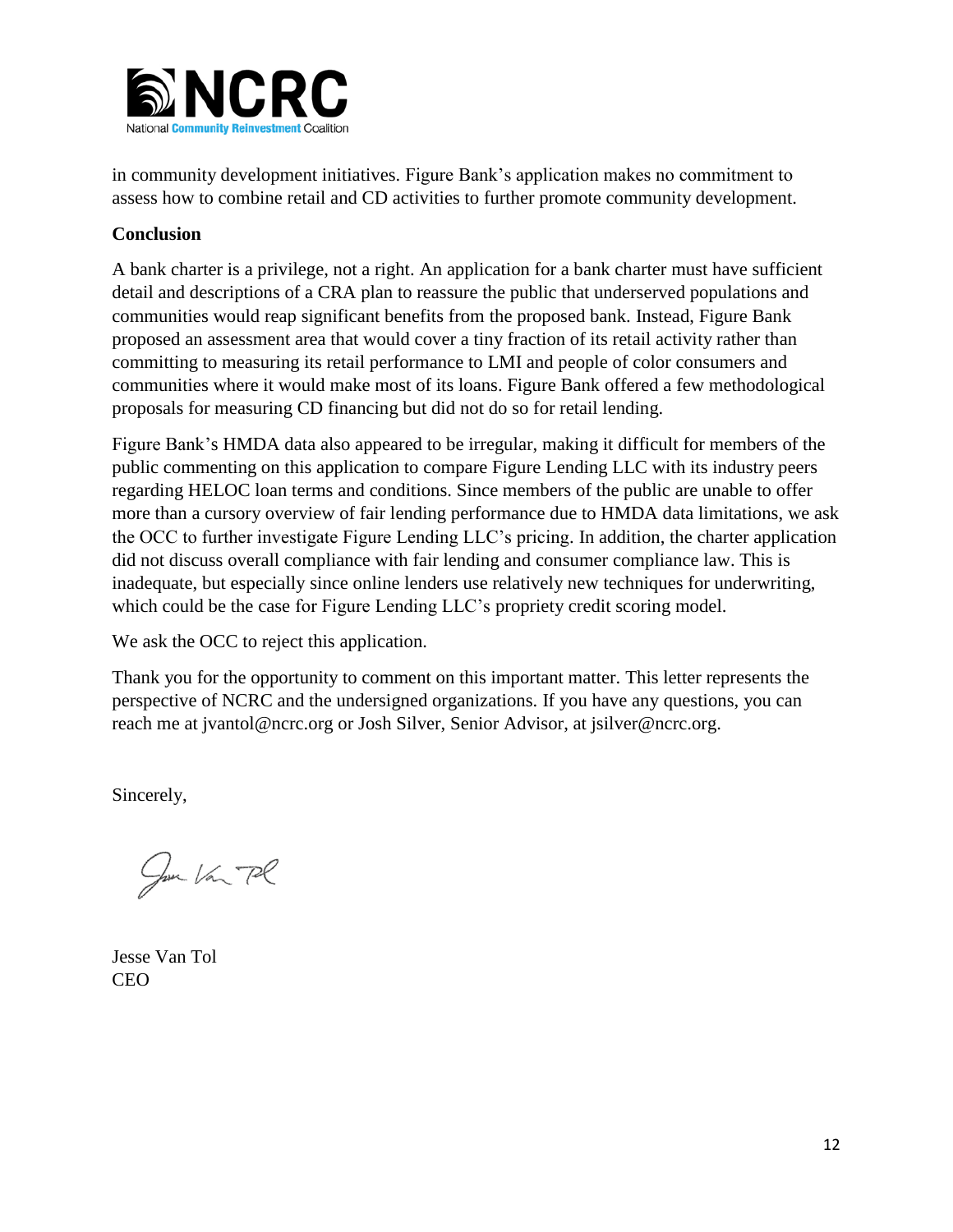

in community development initiatives. Figure Bank's application makes no commitment to assess how to combine retail and CD activities to further promote community development.

# **Conclusion**

A bank charter is a privilege, not a right. An application for a bank charter must have sufficient detail and descriptions of a CRA plan to reassure the public that underserved populations and communities would reap significant benefits from the proposed bank. Instead, Figure Bank proposed an assessment area that would cover a tiny fraction of its retail activity rather than committing to measuring its retail performance to LMI and people of color consumers and communities where it would make most of its loans. Figure Bank offered a few methodological proposals for measuring CD financing but did not do so for retail lending.

Figure Bank's HMDA data also appeared to be irregular, making it difficult for members of the public commenting on this application to compare Figure Lending LLC with its industry peers regarding HELOC loan terms and conditions. Since members of the public are unable to offer more than a cursory overview of fair lending performance due to HMDA data limitations, we ask the OCC to further investigate Figure Lending LLC's pricing. In addition, the charter application did not discuss overall compliance with fair lending and consumer compliance law. This is inadequate, but especially since online lenders use relatively new techniques for underwriting, which could be the case for Figure Lending LLC's propriety credit scoring model.

We ask the OCC to reject this application.

Thank you for the opportunity to comment on this important matter. This letter represents the perspective of NCRC and the undersigned organizations. If you have any questions, you can reach me at jvantol@ncrc.org or Josh Silver, Senior Advisor, at jsilver@ncrc.org.

Sincerely,

Jun Van Pl

Jesse Van Tol CEO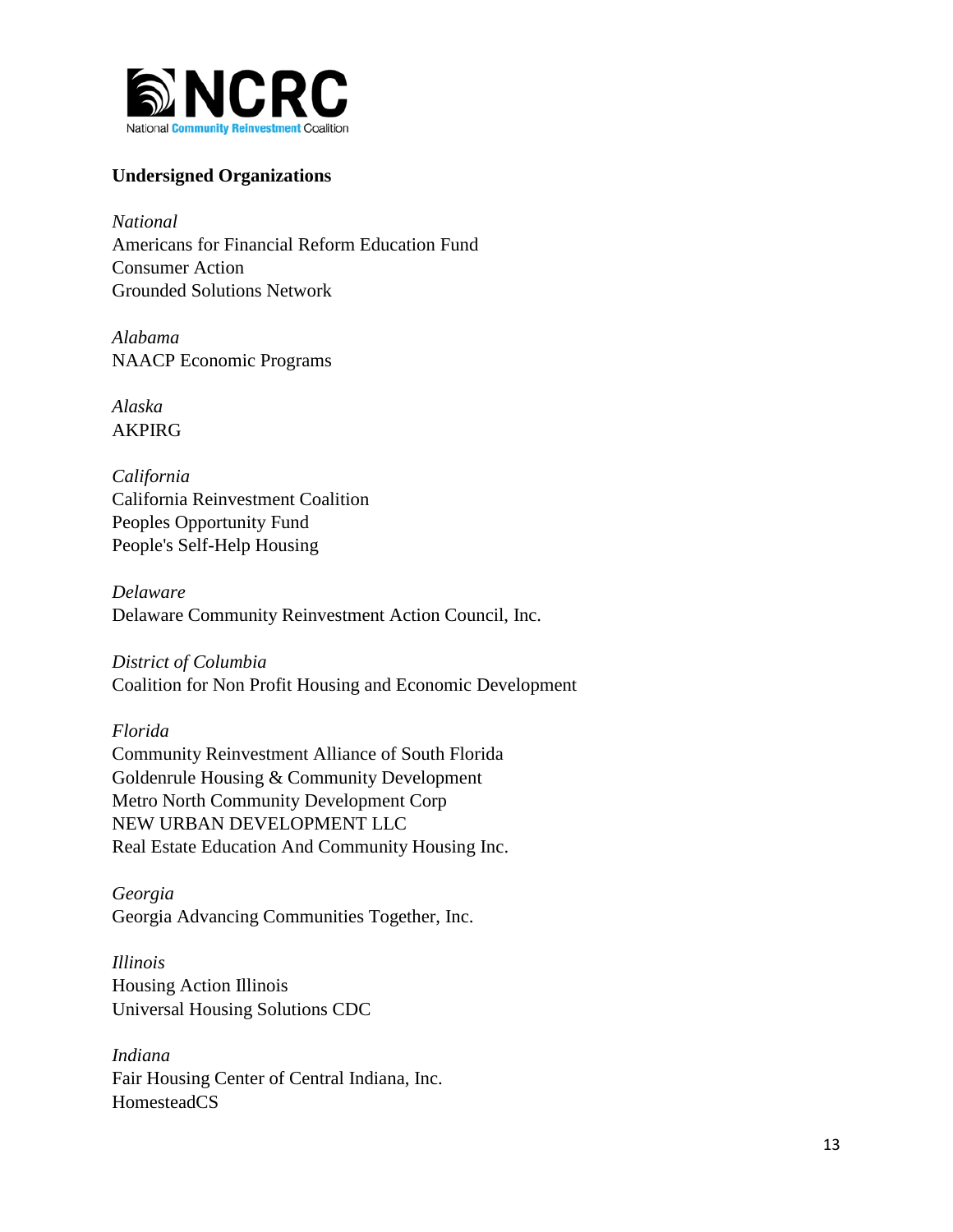

# **Undersigned Organizations**

*National*  Americans for Financial Reform Education Fund Consumer Action Grounded Solutions Network

*Alabama*  NAACP Economic Programs

*Alaska* AKPIRG

*California*  California Reinvestment Coalition Peoples Opportunity Fund People's Self-Help Housing

*Delaware* Delaware Community Reinvestment Action Council, Inc.

*District of Columbia* Coalition for Non Profit Housing and Economic Development

*Florida* Community Reinvestment Alliance of South Florida Goldenrule Housing & Community Development Metro North Community Development Corp NEW URBAN DEVELOPMENT LLC Real Estate Education And Community Housing Inc.

*Georgia*  Georgia Advancing Communities Together, Inc.

*Illinois* Housing Action Illinois Universal Housing Solutions CDC

*Indiana* Fair Housing Center of Central Indiana, Inc. HomesteadCS